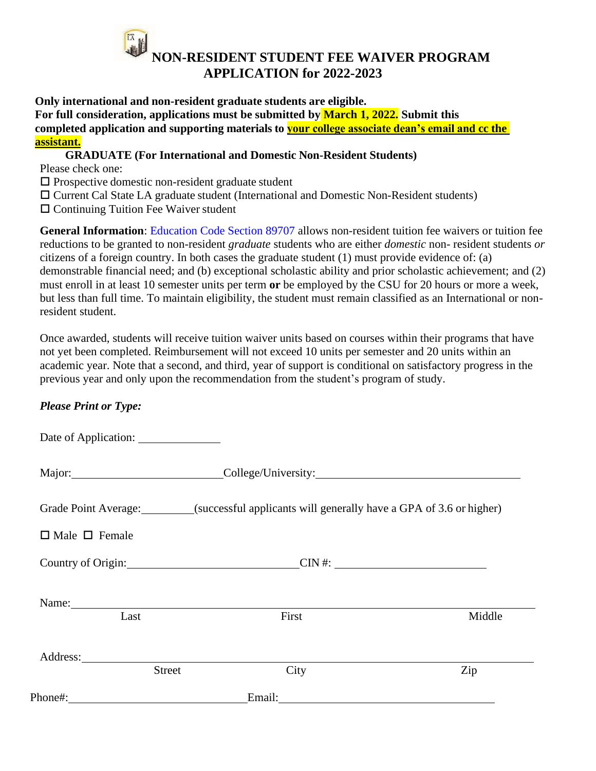## **NON-RESIDENT STUDENT FEE WAIVER PROGRAM APPLICATION for 2022-2023**

**Only international and non-resident graduate students are eligible. For full consideration, applications must be submitted by March 1, 2022. Submit this completed application and supporting materials to your college associate dean's email and cc the assistant.**

## **GRADUATE (For International and Domestic Non-Resident Students)**

Please check one:

- $\square$  Prospective domestic non-resident graduate student
- Current Cal State LA graduate student (International and Domestic Non-Resident students)
- $\square$  Continuing Tuition Fee Waiver student

**General Information**: Education Code Section 89707 allows non-resident tuition fee waivers or tuition fee reductions to be granted to non-resident *graduate* students who are either *domestic* non- resident students *or* citizens of a foreign country. In both cases the graduate student (1) must provide evidence of: (a) demonstrable financial need; and (b) exceptional scholastic ability and prior scholastic achievement; and (2) must enroll in at least 10 semester units per term **or** be employed by the CSU for 20 hours or more a week, but less than full time. To maintain eligibility, the student must remain classified as an International or nonresident student.

Once awarded, students will receive tuition waiver units based on courses within their programs that have not yet been completed. Reimbursement will not exceed 10 units per semester and 20 units within an academic year. Note that a second, and third, year of support is conditional on satisfactory progress in the previous year and only upon the recommendation from the student's program of study.

## *Please Print or Type:*

| Date of Application:      |                                                                                         |        |        |  |  |
|---------------------------|-----------------------------------------------------------------------------------------|--------|--------|--|--|
| Major: 1997               |                                                                                         |        |        |  |  |
|                           | Grade Point Average: (successful applicants will generally have a GPA of 3.6 or higher) |        |        |  |  |
| $\Box$ Male $\Box$ Female |                                                                                         |        |        |  |  |
|                           | Country of Origin: COUN#:                                                               |        |        |  |  |
| Name:<br>Last             |                                                                                         | First  | Middle |  |  |
|                           | <b>Street</b>                                                                           | City   | Zip    |  |  |
| Phone#:                   |                                                                                         | Email: |        |  |  |